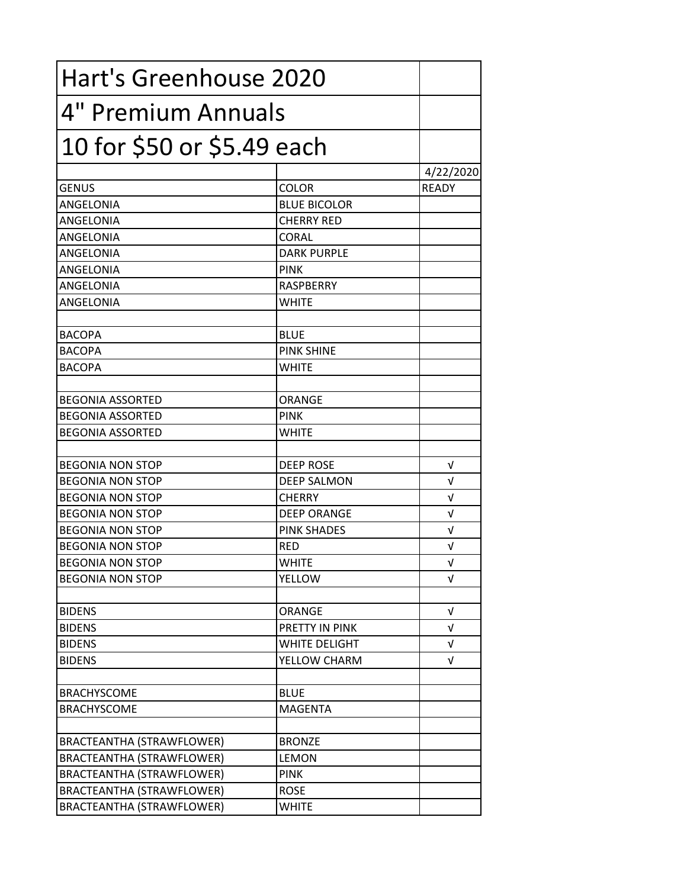| Hart's Greenhouse 2020           |                      |              |
|----------------------------------|----------------------|--------------|
| 4" Premium Annuals               |                      |              |
| 10 for \$50 or \$5.49 each       |                      |              |
|                                  |                      | 4/22/2020    |
| <b>GENUS</b>                     | <b>COLOR</b>         | <b>READY</b> |
| ANGELONIA                        | <b>BLUE BICOLOR</b>  |              |
| ANGELONIA                        | <b>CHERRY RED</b>    |              |
| ANGELONIA                        | <b>CORAL</b>         |              |
| ANGELONIA                        | <b>DARK PURPLE</b>   |              |
| ANGELONIA                        | <b>PINK</b>          |              |
| ANGELONIA                        | <b>RASPBERRY</b>     |              |
| ANGELONIA                        | <b>WHITE</b>         |              |
|                                  |                      |              |
| <b>BACOPA</b>                    | <b>BLUE</b>          |              |
| <b>BACOPA</b>                    | <b>PINK SHINE</b>    |              |
| <b>BACOPA</b>                    | <b>WHITE</b>         |              |
|                                  |                      |              |
| <b>BEGONIA ASSORTED</b>          | ORANGE               |              |
| <b>BEGONIA ASSORTED</b>          | <b>PINK</b>          |              |
| <b>BEGONIA ASSORTED</b>          | WHITE                |              |
|                                  |                      |              |
| <b>BEGONIA NON STOP</b>          | <b>DEEP ROSE</b>     | $\sqrt{ }$   |
| <b>BEGONIA NON STOP</b>          | <b>DEEP SALMON</b>   | v            |
| <b>BEGONIA NON STOP</b>          | <b>CHERRY</b>        | $\sqrt{ }$   |
| <b>BEGONIA NON STOP</b>          | <b>DEEP ORANGE</b>   | V            |
| <b>BEGONIA NON STOP</b>          | <b>PINK SHADES</b>   | V            |
| <b>BEGONIA NON STOP</b>          | <b>RED</b>           | v            |
| <b>BEGONIA NON STOP</b>          | <b>WHITE</b>         | $\sqrt{ }$   |
| <b>BEGONIA NON STOP</b>          | YELLOW               | V            |
|                                  |                      |              |
| <b>BIDENS</b>                    | <b>ORANGE</b>        | $\sqrt{ }$   |
| <b>BIDENS</b>                    | PRETTY IN PINK       | v            |
| <b>BIDENS</b>                    | <b>WHITE DELIGHT</b> | V            |
| <b>BIDENS</b>                    | YELLOW CHARM         | V            |
|                                  |                      |              |
| <b>BRACHYSCOME</b>               | <b>BLUE</b>          |              |
| <b>BRACHYSCOME</b>               | <b>MAGENTA</b>       |              |
|                                  |                      |              |
| <b>BRACTEANTHA (STRAWFLOWER)</b> | <b>BRONZE</b>        |              |
| <b>BRACTEANTHA (STRAWFLOWER)</b> | LEMON                |              |
| BRACTEANTHA (STRAWFLOWER)        | <b>PINK</b>          |              |
| BRACTEANTHA (STRAWFLOWER)        | <b>ROSE</b>          |              |
|                                  |                      |              |
| BRACTEANTHA (STRAWFLOWER)        | <b>WHITE</b>         |              |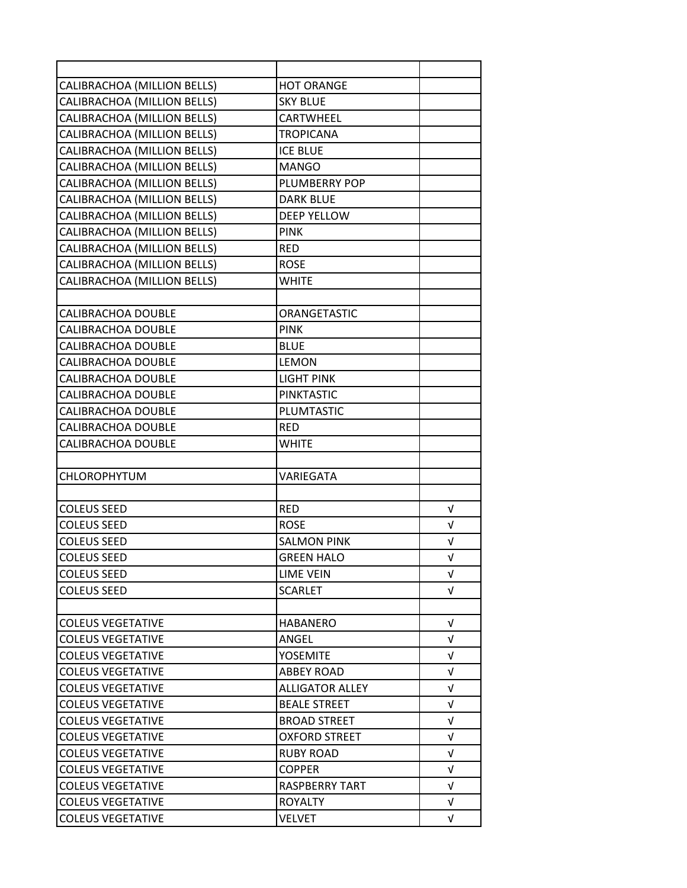| CALIBRACHOA (MILLION BELLS) | <b>HOT ORANGE</b>      |            |
|-----------------------------|------------------------|------------|
| CALIBRACHOA (MILLION BELLS) | <b>SKY BLUE</b>        |            |
| CALIBRACHOA (MILLION BELLS) | <b>CARTWHEEL</b>       |            |
| CALIBRACHOA (MILLION BELLS) | <b>TROPICANA</b>       |            |
| CALIBRACHOA (MILLION BELLS) | <b>ICE BLUE</b>        |            |
| CALIBRACHOA (MILLION BELLS) | <b>MANGO</b>           |            |
| CALIBRACHOA (MILLION BELLS) | <b>PLUMBERRY POP</b>   |            |
| CALIBRACHOA (MILLION BELLS) | <b>DARK BLUE</b>       |            |
| CALIBRACHOA (MILLION BELLS) | <b>DEEP YELLOW</b>     |            |
| CALIBRACHOA (MILLION BELLS) | PINK                   |            |
| CALIBRACHOA (MILLION BELLS) | <b>RED</b>             |            |
| CALIBRACHOA (MILLION BELLS) | <b>ROSE</b>            |            |
| CALIBRACHOA (MILLION BELLS) | <b>WHITE</b>           |            |
|                             |                        |            |
| CALIBRACHOA DOUBLE          | ORANGETASTIC           |            |
| CALIBRACHOA DOUBLE          | <b>PINK</b>            |            |
| CALIBRACHOA DOUBLE          | <b>BLUE</b>            |            |
| <b>CALIBRACHOA DOUBLE</b>   | <b>LEMON</b>           |            |
| <b>CALIBRACHOA DOUBLE</b>   | LIGHT PINK             |            |
| CALIBRACHOA DOUBLE          | <b>PINKTASTIC</b>      |            |
| CALIBRACHOA DOUBLE          | PLUMTASTIC             |            |
| CALIBRACHOA DOUBLE          | <b>RED</b>             |            |
| CALIBRACHOA DOUBLE          | <b>WHITE</b>           |            |
|                             |                        |            |
| <b>CHLOROPHYTUM</b>         | VARIEGATA              |            |
|                             |                        |            |
| <b>COLEUS SEED</b>          | <b>RED</b>             | $\sqrt{ }$ |
| <b>COLEUS SEED</b>          | <b>ROSE</b>            | v          |
| <b>COLEUS SEED</b>          | SALMON PINK            | v          |
| <b>COLEUS SEED</b>          | <b>GREEN HALO</b>      | $\sqrt{ }$ |
| <b>COLEUS SEED</b>          | LIME VEIN              | V          |
| <b>COLEUS SEED</b>          | <b>SCARLET</b>         | V          |
|                             |                        |            |
| <b>COLEUS VEGETATIVE</b>    | <b>HABANERO</b>        | V          |
| <b>COLEUS VEGETATIVE</b>    | ANGEL                  | V          |
| <b>COLEUS VEGETATIVE</b>    | YOSEMITE               | V          |
| <b>COLEUS VEGETATIVE</b>    | <b>ABBEY ROAD</b>      | V          |
| <b>COLEUS VEGETATIVE</b>    | <b>ALLIGATOR ALLEY</b> | V          |
| <b>COLEUS VEGETATIVE</b>    | <b>BEALE STREET</b>    | $\sqrt{ }$ |
| <b>COLEUS VEGETATIVE</b>    | <b>BROAD STREET</b>    | V          |
| <b>COLEUS VEGETATIVE</b>    | <b>OXFORD STREET</b>   | V          |
| <b>COLEUS VEGETATIVE</b>    | <b>RUBY ROAD</b>       | v          |
| <b>COLEUS VEGETATIVE</b>    | <b>COPPER</b>          | V          |
| <b>COLEUS VEGETATIVE</b>    | <b>RASPBERRY TART</b>  | V          |
| <b>COLEUS VEGETATIVE</b>    | <b>ROYALTY</b>         | V          |
| <b>COLEUS VEGETATIVE</b>    | <b>VELVET</b>          | V          |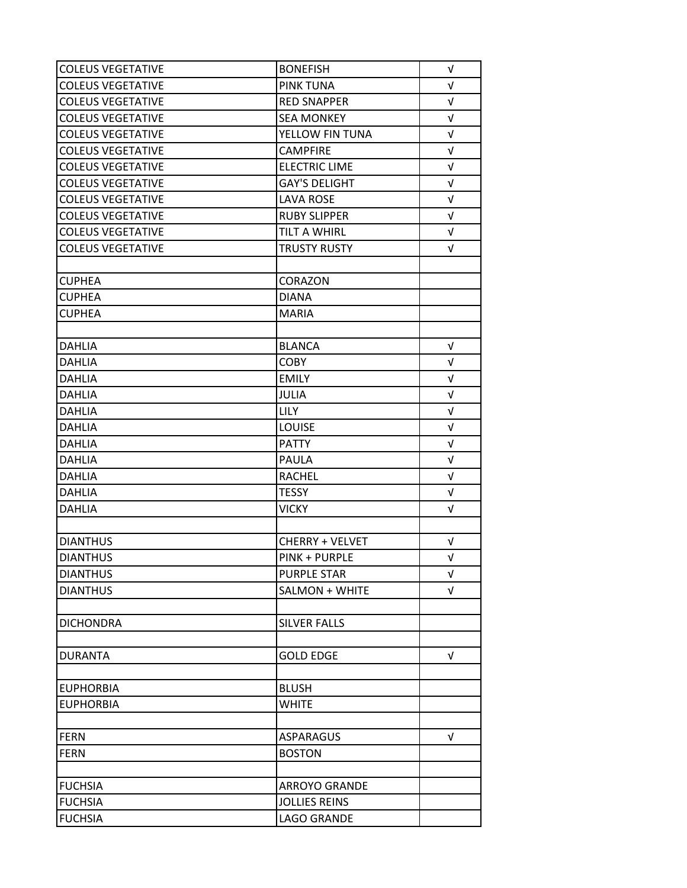| <b>COLEUS VEGETATIVE</b><br><b>PINK TUNA</b><br>V<br>V<br><b>COLEUS VEGETATIVE</b><br><b>RED SNAPPER</b><br><b>COLEUS VEGETATIVE</b><br><b>SEA MONKEY</b><br>V<br><b>COLEUS VEGETATIVE</b><br>YELLOW FIN TUNA<br>V<br><b>COLEUS VEGETATIVE</b><br><b>CAMPFIRE</b><br>V<br><b>COLEUS VEGETATIVE</b><br><b>ELECTRIC LIME</b><br>V<br>V<br><b>COLEUS VEGETATIVE</b><br><b>GAY'S DELIGHT</b><br><b>COLEUS VEGETATIVE</b><br><b>LAVA ROSE</b><br>V<br><b>COLEUS VEGETATIVE</b><br><b>RUBY SLIPPER</b><br>V<br><b>COLEUS VEGETATIVE</b><br>TILT A WHIRL<br>V<br><b>COLEUS VEGETATIVE</b><br><b>TRUSTY RUSTY</b><br>V<br>CORAZON<br><b>CUPHEA</b><br><b>DIANA</b><br>CUPHEA<br><b>CUPHEA</b><br><b>MARIA</b><br><b>DAHLIA</b><br><b>BLANCA</b><br>V<br><b>COBY</b><br><b>DAHLIA</b><br>V<br><b>DAHLIA</b><br><b>EMILY</b><br>V<br><b>DAHLIA</b><br><b>JULIA</b><br>V<br><b>LILY</b><br>V<br><b>DAHLIA</b><br><b>DAHLIA</b><br><b>LOUISE</b><br>V<br><b>DAHLIA</b><br><b>PATTY</b><br>$\sqrt{ }$<br>DAHLIA<br><b>PAULA</b><br>V<br><b>DAHLIA</b><br><b>RACHEL</b><br>V<br>V<br>DAHLIA<br><b>TESSY</b><br><b>VICKY</b><br>DAHLIA<br>V<br><b>DIANTHUS</b><br><b>CHERRY + VELVET</b><br>V<br><b>DIANTHUS</b><br>PINK + PURPLE<br>V<br><b>PURPLE STAR</b><br><b>DIANTHUS</b><br>V<br><b>DIANTHUS</b><br>SALMON + WHITE<br>V<br><b>DICHONDRA</b><br><b>SILVER FALLS</b><br><b>DURANTA</b><br><b>GOLD EDGE</b><br>V<br><b>EUPHORBIA</b><br><b>BLUSH</b><br><b>EUPHORBIA</b><br><b>WHITE</b><br><b>FERN</b><br><b>ASPARAGUS</b><br>$\sqrt{ }$<br><b>FERN</b><br><b>BOSTON</b><br><b>FUCHSIA</b><br><b>ARROYO GRANDE</b><br><b>FUCHSIA</b><br><b>JOLLIES REINS</b> | <b>COLEUS VEGETATIVE</b> | <b>BONEFISH</b>    | V |
|----------------------------------------------------------------------------------------------------------------------------------------------------------------------------------------------------------------------------------------------------------------------------------------------------------------------------------------------------------------------------------------------------------------------------------------------------------------------------------------------------------------------------------------------------------------------------------------------------------------------------------------------------------------------------------------------------------------------------------------------------------------------------------------------------------------------------------------------------------------------------------------------------------------------------------------------------------------------------------------------------------------------------------------------------------------------------------------------------------------------------------------------------------------------------------------------------------------------------------------------------------------------------------------------------------------------------------------------------------------------------------------------------------------------------------------------------------------------------------------------------------------------------------------------------------------------------------------------------------------------------------------------------|--------------------------|--------------------|---|
|                                                                                                                                                                                                                                                                                                                                                                                                                                                                                                                                                                                                                                                                                                                                                                                                                                                                                                                                                                                                                                                                                                                                                                                                                                                                                                                                                                                                                                                                                                                                                                                                                                                    |                          |                    |   |
|                                                                                                                                                                                                                                                                                                                                                                                                                                                                                                                                                                                                                                                                                                                                                                                                                                                                                                                                                                                                                                                                                                                                                                                                                                                                                                                                                                                                                                                                                                                                                                                                                                                    |                          |                    |   |
|                                                                                                                                                                                                                                                                                                                                                                                                                                                                                                                                                                                                                                                                                                                                                                                                                                                                                                                                                                                                                                                                                                                                                                                                                                                                                                                                                                                                                                                                                                                                                                                                                                                    |                          |                    |   |
|                                                                                                                                                                                                                                                                                                                                                                                                                                                                                                                                                                                                                                                                                                                                                                                                                                                                                                                                                                                                                                                                                                                                                                                                                                                                                                                                                                                                                                                                                                                                                                                                                                                    |                          |                    |   |
|                                                                                                                                                                                                                                                                                                                                                                                                                                                                                                                                                                                                                                                                                                                                                                                                                                                                                                                                                                                                                                                                                                                                                                                                                                                                                                                                                                                                                                                                                                                                                                                                                                                    |                          |                    |   |
|                                                                                                                                                                                                                                                                                                                                                                                                                                                                                                                                                                                                                                                                                                                                                                                                                                                                                                                                                                                                                                                                                                                                                                                                                                                                                                                                                                                                                                                                                                                                                                                                                                                    |                          |                    |   |
|                                                                                                                                                                                                                                                                                                                                                                                                                                                                                                                                                                                                                                                                                                                                                                                                                                                                                                                                                                                                                                                                                                                                                                                                                                                                                                                                                                                                                                                                                                                                                                                                                                                    |                          |                    |   |
|                                                                                                                                                                                                                                                                                                                                                                                                                                                                                                                                                                                                                                                                                                                                                                                                                                                                                                                                                                                                                                                                                                                                                                                                                                                                                                                                                                                                                                                                                                                                                                                                                                                    |                          |                    |   |
|                                                                                                                                                                                                                                                                                                                                                                                                                                                                                                                                                                                                                                                                                                                                                                                                                                                                                                                                                                                                                                                                                                                                                                                                                                                                                                                                                                                                                                                                                                                                                                                                                                                    |                          |                    |   |
|                                                                                                                                                                                                                                                                                                                                                                                                                                                                                                                                                                                                                                                                                                                                                                                                                                                                                                                                                                                                                                                                                                                                                                                                                                                                                                                                                                                                                                                                                                                                                                                                                                                    |                          |                    |   |
|                                                                                                                                                                                                                                                                                                                                                                                                                                                                                                                                                                                                                                                                                                                                                                                                                                                                                                                                                                                                                                                                                                                                                                                                                                                                                                                                                                                                                                                                                                                                                                                                                                                    |                          |                    |   |
|                                                                                                                                                                                                                                                                                                                                                                                                                                                                                                                                                                                                                                                                                                                                                                                                                                                                                                                                                                                                                                                                                                                                                                                                                                                                                                                                                                                                                                                                                                                                                                                                                                                    |                          |                    |   |
|                                                                                                                                                                                                                                                                                                                                                                                                                                                                                                                                                                                                                                                                                                                                                                                                                                                                                                                                                                                                                                                                                                                                                                                                                                                                                                                                                                                                                                                                                                                                                                                                                                                    |                          |                    |   |
|                                                                                                                                                                                                                                                                                                                                                                                                                                                                                                                                                                                                                                                                                                                                                                                                                                                                                                                                                                                                                                                                                                                                                                                                                                                                                                                                                                                                                                                                                                                                                                                                                                                    |                          |                    |   |
|                                                                                                                                                                                                                                                                                                                                                                                                                                                                                                                                                                                                                                                                                                                                                                                                                                                                                                                                                                                                                                                                                                                                                                                                                                                                                                                                                                                                                                                                                                                                                                                                                                                    |                          |                    |   |
|                                                                                                                                                                                                                                                                                                                                                                                                                                                                                                                                                                                                                                                                                                                                                                                                                                                                                                                                                                                                                                                                                                                                                                                                                                                                                                                                                                                                                                                                                                                                                                                                                                                    |                          |                    |   |
|                                                                                                                                                                                                                                                                                                                                                                                                                                                                                                                                                                                                                                                                                                                                                                                                                                                                                                                                                                                                                                                                                                                                                                                                                                                                                                                                                                                                                                                                                                                                                                                                                                                    |                          |                    |   |
|                                                                                                                                                                                                                                                                                                                                                                                                                                                                                                                                                                                                                                                                                                                                                                                                                                                                                                                                                                                                                                                                                                                                                                                                                                                                                                                                                                                                                                                                                                                                                                                                                                                    |                          |                    |   |
|                                                                                                                                                                                                                                                                                                                                                                                                                                                                                                                                                                                                                                                                                                                                                                                                                                                                                                                                                                                                                                                                                                                                                                                                                                                                                                                                                                                                                                                                                                                                                                                                                                                    |                          |                    |   |
|                                                                                                                                                                                                                                                                                                                                                                                                                                                                                                                                                                                                                                                                                                                                                                                                                                                                                                                                                                                                                                                                                                                                                                                                                                                                                                                                                                                                                                                                                                                                                                                                                                                    |                          |                    |   |
|                                                                                                                                                                                                                                                                                                                                                                                                                                                                                                                                                                                                                                                                                                                                                                                                                                                                                                                                                                                                                                                                                                                                                                                                                                                                                                                                                                                                                                                                                                                                                                                                                                                    |                          |                    |   |
|                                                                                                                                                                                                                                                                                                                                                                                                                                                                                                                                                                                                                                                                                                                                                                                                                                                                                                                                                                                                                                                                                                                                                                                                                                                                                                                                                                                                                                                                                                                                                                                                                                                    |                          |                    |   |
|                                                                                                                                                                                                                                                                                                                                                                                                                                                                                                                                                                                                                                                                                                                                                                                                                                                                                                                                                                                                                                                                                                                                                                                                                                                                                                                                                                                                                                                                                                                                                                                                                                                    |                          |                    |   |
|                                                                                                                                                                                                                                                                                                                                                                                                                                                                                                                                                                                                                                                                                                                                                                                                                                                                                                                                                                                                                                                                                                                                                                                                                                                                                                                                                                                                                                                                                                                                                                                                                                                    |                          |                    |   |
|                                                                                                                                                                                                                                                                                                                                                                                                                                                                                                                                                                                                                                                                                                                                                                                                                                                                                                                                                                                                                                                                                                                                                                                                                                                                                                                                                                                                                                                                                                                                                                                                                                                    |                          |                    |   |
|                                                                                                                                                                                                                                                                                                                                                                                                                                                                                                                                                                                                                                                                                                                                                                                                                                                                                                                                                                                                                                                                                                                                                                                                                                                                                                                                                                                                                                                                                                                                                                                                                                                    |                          |                    |   |
|                                                                                                                                                                                                                                                                                                                                                                                                                                                                                                                                                                                                                                                                                                                                                                                                                                                                                                                                                                                                                                                                                                                                                                                                                                                                                                                                                                                                                                                                                                                                                                                                                                                    |                          |                    |   |
|                                                                                                                                                                                                                                                                                                                                                                                                                                                                                                                                                                                                                                                                                                                                                                                                                                                                                                                                                                                                                                                                                                                                                                                                                                                                                                                                                                                                                                                                                                                                                                                                                                                    |                          |                    |   |
|                                                                                                                                                                                                                                                                                                                                                                                                                                                                                                                                                                                                                                                                                                                                                                                                                                                                                                                                                                                                                                                                                                                                                                                                                                                                                                                                                                                                                                                                                                                                                                                                                                                    |                          |                    |   |
|                                                                                                                                                                                                                                                                                                                                                                                                                                                                                                                                                                                                                                                                                                                                                                                                                                                                                                                                                                                                                                                                                                                                                                                                                                                                                                                                                                                                                                                                                                                                                                                                                                                    |                          |                    |   |
|                                                                                                                                                                                                                                                                                                                                                                                                                                                                                                                                                                                                                                                                                                                                                                                                                                                                                                                                                                                                                                                                                                                                                                                                                                                                                                                                                                                                                                                                                                                                                                                                                                                    |                          |                    |   |
|                                                                                                                                                                                                                                                                                                                                                                                                                                                                                                                                                                                                                                                                                                                                                                                                                                                                                                                                                                                                                                                                                                                                                                                                                                                                                                                                                                                                                                                                                                                                                                                                                                                    |                          |                    |   |
|                                                                                                                                                                                                                                                                                                                                                                                                                                                                                                                                                                                                                                                                                                                                                                                                                                                                                                                                                                                                                                                                                                                                                                                                                                                                                                                                                                                                                                                                                                                                                                                                                                                    |                          |                    |   |
|                                                                                                                                                                                                                                                                                                                                                                                                                                                                                                                                                                                                                                                                                                                                                                                                                                                                                                                                                                                                                                                                                                                                                                                                                                                                                                                                                                                                                                                                                                                                                                                                                                                    |                          |                    |   |
|                                                                                                                                                                                                                                                                                                                                                                                                                                                                                                                                                                                                                                                                                                                                                                                                                                                                                                                                                                                                                                                                                                                                                                                                                                                                                                                                                                                                                                                                                                                                                                                                                                                    |                          |                    |   |
|                                                                                                                                                                                                                                                                                                                                                                                                                                                                                                                                                                                                                                                                                                                                                                                                                                                                                                                                                                                                                                                                                                                                                                                                                                                                                                                                                                                                                                                                                                                                                                                                                                                    |                          |                    |   |
|                                                                                                                                                                                                                                                                                                                                                                                                                                                                                                                                                                                                                                                                                                                                                                                                                                                                                                                                                                                                                                                                                                                                                                                                                                                                                                                                                                                                                                                                                                                                                                                                                                                    |                          |                    |   |
|                                                                                                                                                                                                                                                                                                                                                                                                                                                                                                                                                                                                                                                                                                                                                                                                                                                                                                                                                                                                                                                                                                                                                                                                                                                                                                                                                                                                                                                                                                                                                                                                                                                    |                          |                    |   |
|                                                                                                                                                                                                                                                                                                                                                                                                                                                                                                                                                                                                                                                                                                                                                                                                                                                                                                                                                                                                                                                                                                                                                                                                                                                                                                                                                                                                                                                                                                                                                                                                                                                    |                          |                    |   |
|                                                                                                                                                                                                                                                                                                                                                                                                                                                                                                                                                                                                                                                                                                                                                                                                                                                                                                                                                                                                                                                                                                                                                                                                                                                                                                                                                                                                                                                                                                                                                                                                                                                    |                          |                    |   |
|                                                                                                                                                                                                                                                                                                                                                                                                                                                                                                                                                                                                                                                                                                                                                                                                                                                                                                                                                                                                                                                                                                                                                                                                                                                                                                                                                                                                                                                                                                                                                                                                                                                    |                          |                    |   |
|                                                                                                                                                                                                                                                                                                                                                                                                                                                                                                                                                                                                                                                                                                                                                                                                                                                                                                                                                                                                                                                                                                                                                                                                                                                                                                                                                                                                                                                                                                                                                                                                                                                    |                          |                    |   |
|                                                                                                                                                                                                                                                                                                                                                                                                                                                                                                                                                                                                                                                                                                                                                                                                                                                                                                                                                                                                                                                                                                                                                                                                                                                                                                                                                                                                                                                                                                                                                                                                                                                    |                          |                    |   |
|                                                                                                                                                                                                                                                                                                                                                                                                                                                                                                                                                                                                                                                                                                                                                                                                                                                                                                                                                                                                                                                                                                                                                                                                                                                                                                                                                                                                                                                                                                                                                                                                                                                    |                          |                    |   |
|                                                                                                                                                                                                                                                                                                                                                                                                                                                                                                                                                                                                                                                                                                                                                                                                                                                                                                                                                                                                                                                                                                                                                                                                                                                                                                                                                                                                                                                                                                                                                                                                                                                    |                          |                    |   |
|                                                                                                                                                                                                                                                                                                                                                                                                                                                                                                                                                                                                                                                                                                                                                                                                                                                                                                                                                                                                                                                                                                                                                                                                                                                                                                                                                                                                                                                                                                                                                                                                                                                    | <b>FUCHSIA</b>           | <b>LAGO GRANDE</b> |   |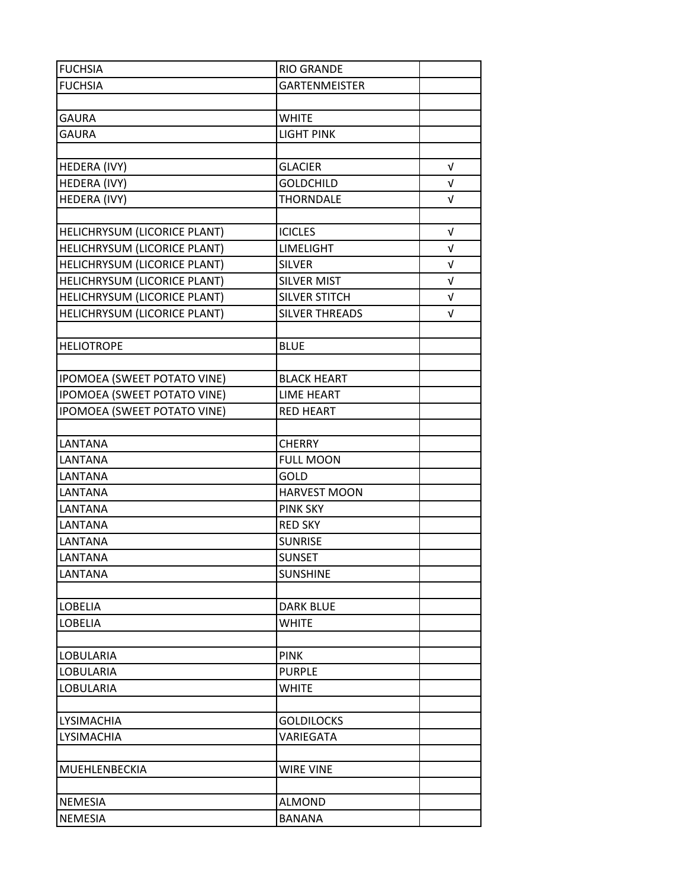| <b>FUCHSIA</b>               | <b>RIO GRANDE</b>     |            |
|------------------------------|-----------------------|------------|
| <b>FUCHSIA</b>               | <b>GARTENMEISTER</b>  |            |
|                              |                       |            |
| <b>GAURA</b>                 | <b>WHITE</b>          |            |
| <b>GAURA</b>                 | <b>LIGHT PINK</b>     |            |
|                              |                       |            |
| HEDERA (IVY)                 | <b>GLACIER</b>        | V          |
| HEDERA (IVY)                 | <b>GOLDCHILD</b>      | V          |
| HEDERA (IVY)                 | <b>THORNDALE</b>      | V          |
|                              |                       |            |
| HELICHRYSUM (LICORICE PLANT) | <b>ICICLES</b>        | V          |
| HELICHRYSUM (LICORICE PLANT) | LIMELIGHT             | $\sqrt{ }$ |
| HELICHRYSUM (LICORICE PLANT) | <b>SILVER</b>         | V          |
| HELICHRYSUM (LICORICE PLANT) | <b>SILVER MIST</b>    | V          |
| HELICHRYSUM (LICORICE PLANT) | SILVER STITCH         | V          |
| HELICHRYSUM (LICORICE PLANT) | <b>SILVER THREADS</b> | V          |
|                              |                       |            |
| <b>HELIOTROPE</b>            | <b>BLUE</b>           |            |
|                              |                       |            |
| IPOMOEA (SWEET POTATO VINE)  | <b>BLACK HEART</b>    |            |
| IPOMOEA (SWEET POTATO VINE)  | <b>LIME HEART</b>     |            |
| IPOMOEA (SWEET POTATO VINE)  | <b>RED HEART</b>      |            |
|                              |                       |            |
| LANTANA                      | <b>CHERRY</b>         |            |
| LANTANA                      | <b>FULL MOON</b>      |            |
| LANTANA                      | <b>GOLD</b>           |            |
| LANTANA                      | <b>HARVEST MOON</b>   |            |
| LANTANA                      | <b>PINK SKY</b>       |            |
| LANTANA                      | <b>RED SKY</b>        |            |
| LANTANA                      | <b>SUNRISE</b>        |            |
| LANTANA                      | <b>SUNSET</b>         |            |
| LANTANA                      | <b>SUNSHINE</b>       |            |
|                              |                       |            |
| <b>LOBELIA</b>               | <b>DARK BLUE</b>      |            |
| <b>LOBELIA</b>               | <b>WHITE</b>          |            |
|                              |                       |            |
| <b>LOBULARIA</b>             | <b>PINK</b>           |            |
| <b>LOBULARIA</b>             | <b>PURPLE</b>         |            |
| LOBULARIA                    | <b>WHITE</b>          |            |
|                              |                       |            |
| LYSIMACHIA                   | <b>GOLDILOCKS</b>     |            |
| LYSIMACHIA                   | VARIEGATA             |            |
|                              |                       |            |
| MUEHLENBECKIA                | <b>WIRE VINE</b>      |            |
|                              |                       |            |
| <b>NEMESIA</b>               | <b>ALMOND</b>         |            |
| <b>NEMESIA</b>               | <b>BANANA</b>         |            |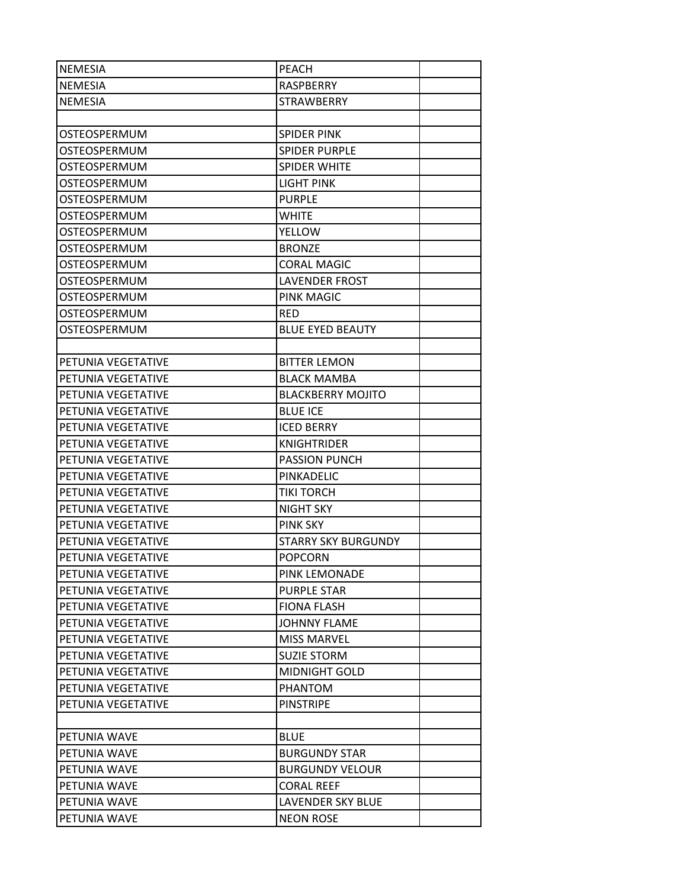| <b>NEMESIA</b>            | <b>PEACH</b>               |
|---------------------------|----------------------------|
| <b>NEMESIA</b>            | RASPBERRY                  |
| <b>NEMESIA</b>            | <b>STRAWBERRY</b>          |
|                           |                            |
| OSTEOSPERMUM              | <b>SPIDER PINK</b>         |
| OSTEOSPERMUM              | <b>SPIDER PURPLE</b>       |
| OSTEOSPERMUM              | <b>SPIDER WHITE</b>        |
| OSTEOSPERMUM              | LIGHT PINK                 |
| OSTEOSPERMUM              | <b>PURPLE</b>              |
| OSTEOSPERMUM              | WHITE                      |
| OSTEOSPERMUM              | <b>YELLOW</b>              |
| OSTEOSPERMUM              | <b>BRONZE</b>              |
| OSTEOSPERMUM              | CORAL MAGIC                |
| OSTEOSPERMUM              | <b>LAVENDER FROST</b>      |
| OSTEOSPERMUM              | <b>PINK MAGIC</b>          |
| OSTEOSPERMUM              | <b>RED</b>                 |
| OSTEOSPERMUM              | <b>BLUE EYED BEAUTY</b>    |
|                           |                            |
| PETUNIA VEGETATIVE        | <b>BITTER LEMON</b>        |
| PETUNIA VEGETATIVE        | <b>BLACK MAMBA</b>         |
| PETUNIA VEGETATIVE        | <b>BLACKBERRY MOJITO</b>   |
| PETUNIA VEGETATIVE        | <b>BLUE ICE</b>            |
| PETUNIA VEGETATIVE        | <b>ICED BERRY</b>          |
| PETUNIA VEGETATIVE        | <b>KNIGHTRIDER</b>         |
| PETUNIA VEGETATIVE        | <b>PASSION PUNCH</b>       |
| PETUNIA VEGETATIVE        | PINKADELIC                 |
| PETUNIA VEGETATIVE        | TIKI TORCH                 |
| PETUNIA VEGETATIVE        | NIGHT SKY                  |
| PETUNIA VEGETATIVE        | <b>PINK SKY</b>            |
| PETUNIA VEGETATIVE        | <b>STARRY SKY BURGUNDY</b> |
| <b>PETUNIA VEGETATIVE</b> | <b>POPCORN</b>             |
| PETUNIA VEGETATIVE        | PINK LEMONADE              |
| PETUNIA VEGETATIVE        | <b>PURPLE STAR</b>         |
| PETUNIA VEGETATIVE        | <b>FIONA FLASH</b>         |
| PETUNIA VEGETATIVE        | <b>JOHNNY FLAME</b>        |
| PETUNIA VEGETATIVE        | <b>MISS MARVEL</b>         |
| PETUNIA VEGETATIVE        | <b>SUZIE STORM</b>         |
| PETUNIA VEGETATIVE        | <b>MIDNIGHT GOLD</b>       |
| PETUNIA VEGETATIVE        | PHANTOM                    |
| PETUNIA VEGETATIVE        | <b>PINSTRIPE</b>           |
|                           |                            |
| PETUNIA WAVE              | <b>BLUE</b>                |
| <b>PETUNIA WAVE</b>       | <b>BURGUNDY STAR</b>       |
| PETUNIA WAVE              | <b>BURGUNDY VELOUR</b>     |
| PETUNIA WAVE              | <b>CORAL REEF</b>          |
| <b>PETUNIA WAVE</b>       | <b>LAVENDER SKY BLUE</b>   |
| PETUNIA WAVE              | <b>NEON ROSE</b>           |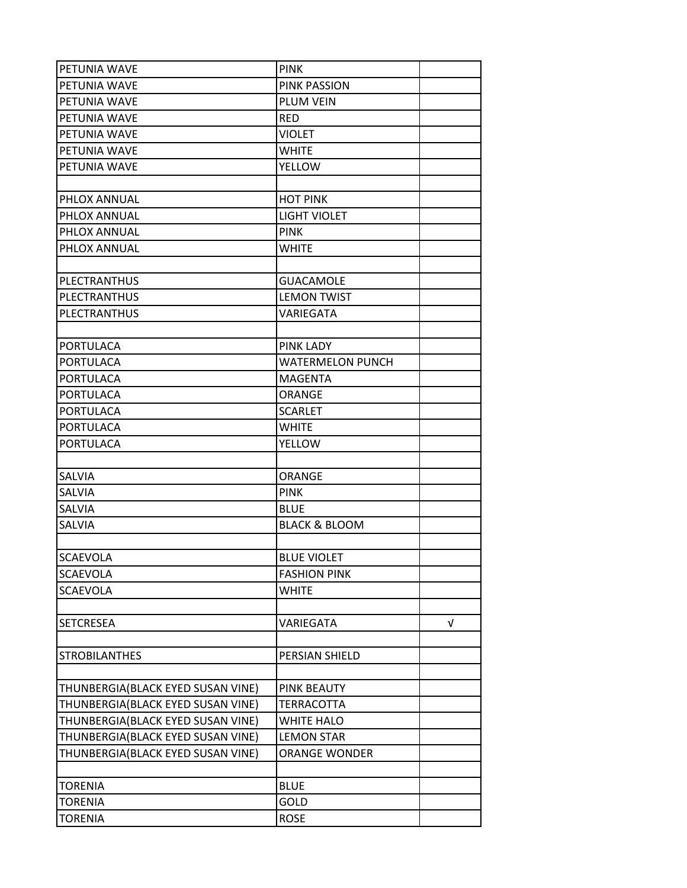| PETUNIA WAVE                      | <b>PINK</b>              |   |
|-----------------------------------|--------------------------|---|
| PETUNIA WAVE                      | <b>PINK PASSION</b>      |   |
| PETUNIA WAVE                      | <b>PLUM VEIN</b>         |   |
| PETUNIA WAVE                      | <b>RED</b>               |   |
| PETUNIA WAVE                      | <b>VIOLET</b>            |   |
| PETUNIA WAVE                      | <b>WHITE</b>             |   |
| PETUNIA WAVE                      | <b>YELLOW</b>            |   |
|                                   |                          |   |
| PHLOX ANNUAL                      | <b>HOT PINK</b>          |   |
| PHLOX ANNUAL                      | <b>LIGHT VIOLET</b>      |   |
| PHLOX ANNUAL                      | <b>PINK</b>              |   |
| PHLOX ANNUAL                      | <b>WHITE</b>             |   |
|                                   |                          |   |
| <b>PLECTRANTHUS</b>               | <b>GUACAMOLE</b>         |   |
| <b>PLECTRANTHUS</b>               | <b>LEMON TWIST</b>       |   |
| <b>PLECTRANTHUS</b>               | VARIEGATA                |   |
|                                   |                          |   |
| <b>PORTULACA</b>                  | <b>PINK LADY</b>         |   |
| PORTULACA                         | <b>WATERMELON PUNCH</b>  |   |
| PORTULACA                         | <b>MAGENTA</b>           |   |
| <b>PORTULACA</b>                  | ORANGE                   |   |
| <b>PORTULACA</b>                  | <b>SCARLET</b>           |   |
| PORTULACA                         | <b>WHITE</b>             |   |
| <b>PORTULACA</b>                  | <b>YELLOW</b>            |   |
|                                   |                          |   |
| SALVIA                            | <b>ORANGE</b>            |   |
| SALVIA                            | <b>PINK</b>              |   |
| SALVIA                            | <b>BLUE</b>              |   |
| SALVIA                            | <b>BLACK &amp; BLOOM</b> |   |
|                                   |                          |   |
| <b>SCAEVOLA</b>                   | <b>BLUE VIOLET</b>       |   |
| <b>SCAEVOLA</b>                   | <b>FASHION PINK</b>      |   |
| <b>SCAEVOLA</b>                   | <b>WHITE</b>             |   |
|                                   |                          |   |
| <b>SETCRESEA</b>                  | VARIEGATA                | V |
|                                   |                          |   |
| <b>STROBILANTHES</b>              | PERSIAN SHIELD           |   |
|                                   |                          |   |
| THUNBERGIA(BLACK EYED SUSAN VINE) | <b>PINK BEAUTY</b>       |   |
| THUNBERGIA(BLACK EYED SUSAN VINE) | <b>TERRACOTTA</b>        |   |
| THUNBERGIA(BLACK EYED SUSAN VINE) | <b>WHITE HALO</b>        |   |
| THUNBERGIA(BLACK EYED SUSAN VINE) | <b>LEMON STAR</b>        |   |
| THUNBERGIA(BLACK EYED SUSAN VINE) | <b>ORANGE WONDER</b>     |   |
|                                   |                          |   |
| <b>TORENIA</b>                    | <b>BLUE</b>              |   |
| <b>TORENIA</b>                    | GOLD                     |   |
| <b>TORENIA</b>                    | <b>ROSE</b>              |   |